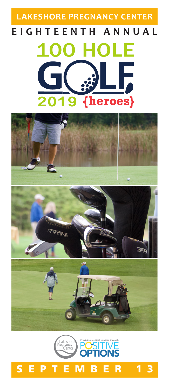# **LAKESHORE PREGNANCY CENTEREIGHTEENTH ANNUAL** LE  $\Box$ {heroes} 2019





### SEPTEMBER 13